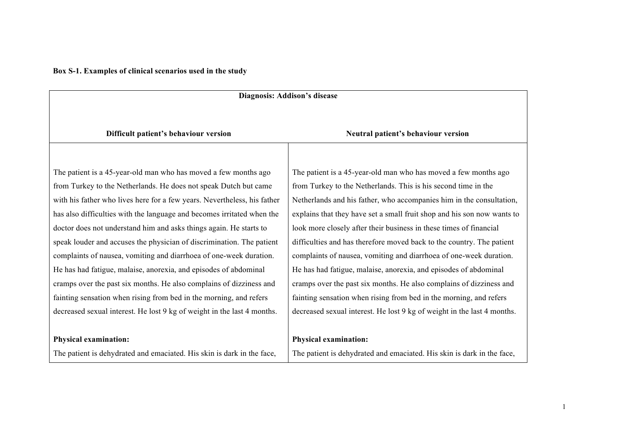**Box S-1. Examples of clinical scenarios used in the study** 

| Diagnosis: Addison's disease                                                                                                                                                                                                                                                                                                                                                                                                                                                                                                                                                                                                                                                                                                    |                                                                                                                                                                                                                                                                                                                                                                                                                                                                                                                                                                                                                                                                                                                            |  |
|---------------------------------------------------------------------------------------------------------------------------------------------------------------------------------------------------------------------------------------------------------------------------------------------------------------------------------------------------------------------------------------------------------------------------------------------------------------------------------------------------------------------------------------------------------------------------------------------------------------------------------------------------------------------------------------------------------------------------------|----------------------------------------------------------------------------------------------------------------------------------------------------------------------------------------------------------------------------------------------------------------------------------------------------------------------------------------------------------------------------------------------------------------------------------------------------------------------------------------------------------------------------------------------------------------------------------------------------------------------------------------------------------------------------------------------------------------------------|--|
| Difficult patient's behaviour version                                                                                                                                                                                                                                                                                                                                                                                                                                                                                                                                                                                                                                                                                           | Neutral patient's behaviour version                                                                                                                                                                                                                                                                                                                                                                                                                                                                                                                                                                                                                                                                                        |  |
| The patient is a 45-year-old man who has moved a few months ago<br>from Turkey to the Netherlands. He does not speak Dutch but came<br>with his father who lives here for a few years. Nevertheless, his father<br>has also difficulties with the language and becomes irritated when the<br>doctor does not understand him and asks things again. He starts to<br>speak louder and accuses the physician of discrimination. The patient<br>complaints of nausea, vomiting and diarrhoea of one-week duration.<br>He has had fatigue, malaise, anorexia, and episodes of abdominal<br>cramps over the past six months. He also complains of dizziness and<br>fainting sensation when rising from bed in the morning, and refers | The patient is a 45-year-old man who has moved a few months ago<br>from Turkey to the Netherlands. This is his second time in the<br>Netherlands and his father, who accompanies him in the consultation,<br>explains that they have set a small fruit shop and his son now wants to<br>look more closely after their business in these times of financial<br>difficulties and has therefore moved back to the country. The patient<br>complaints of nausea, vomiting and diarrhoea of one-week duration.<br>He has had fatigue, malaise, anorexia, and episodes of abdominal<br>cramps over the past six months. He also complains of dizziness and<br>fainting sensation when rising from bed in the morning, and refers |  |
| decreased sexual interest. He lost 9 kg of weight in the last 4 months.                                                                                                                                                                                                                                                                                                                                                                                                                                                                                                                                                                                                                                                         | decreased sexual interest. He lost 9 kg of weight in the last 4 months.                                                                                                                                                                                                                                                                                                                                                                                                                                                                                                                                                                                                                                                    |  |
| <b>Physical examination:</b>                                                                                                                                                                                                                                                                                                                                                                                                                                                                                                                                                                                                                                                                                                    | <b>Physical examination:</b>                                                                                                                                                                                                                                                                                                                                                                                                                                                                                                                                                                                                                                                                                               |  |
| The patient is dehydrated and emaciated. His skin is dark in the face,                                                                                                                                                                                                                                                                                                                                                                                                                                                                                                                                                                                                                                                          | The patient is dehydrated and emaciated. His skin is dark in the face,                                                                                                                                                                                                                                                                                                                                                                                                                                                                                                                                                                                                                                                     |  |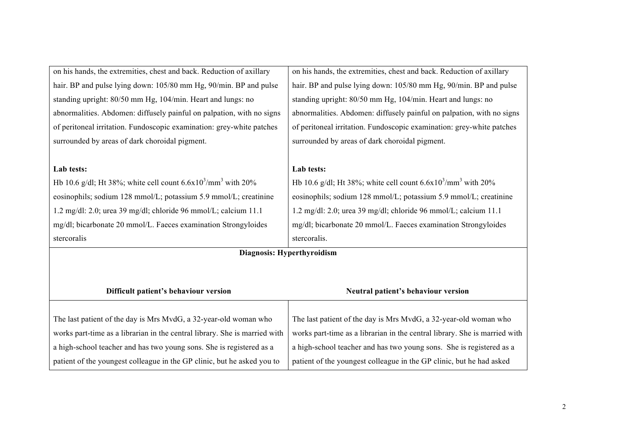| on his hands, the extremities, chest and back. Reduction of axillary       | on his hands, the extremities, chest and back. Reduction of axillary       |  |
|----------------------------------------------------------------------------|----------------------------------------------------------------------------|--|
| hair. BP and pulse lying down: 105/80 mm Hg, 90/min. BP and pulse          | hair. BP and pulse lying down: 105/80 mm Hg, 90/min. BP and pulse          |  |
| standing upright: 80/50 mm Hg, 104/min. Heart and lungs: no                | standing upright: 80/50 mm Hg, 104/min. Heart and lungs: no                |  |
| abnormalities. Abdomen: diffusely painful on palpation, with no signs      | abnormalities. Abdomen: diffusely painful on palpation, with no signs      |  |
| of peritoneal irritation. Fundoscopic examination: grey-white patches      | of peritoneal irritation. Fundoscopic examination: grey-white patches      |  |
| surrounded by areas of dark choroidal pigment.                             | surrounded by areas of dark choroidal pigment.                             |  |
|                                                                            |                                                                            |  |
| Lab tests:                                                                 | Lab tests:                                                                 |  |
| Hb 10.6 g/dl; Ht 38%; white cell count $6.6x10^{3}/mm^{3}$ with 20%        | Hb 10.6 g/dl; Ht 38%; white cell count $6.6x10^{3}/mm^{3}$ with 20%        |  |
| eosinophils; sodium 128 mmol/L; potassium 5.9 mmol/L; creatinine           | eosinophils; sodium 128 mmol/L; potassium 5.9 mmol/L; creatinine           |  |
| 1.2 mg/dl: 2.0; urea 39 mg/dl; chloride 96 mmol/L; calcium 11.1            | 1.2 mg/dl: 2.0; urea 39 mg/dl; chloride 96 mmol/L; calcium 11.1            |  |
| mg/dl; bicarbonate 20 mmol/L. Faeces examination Strongyloides             | mg/dl; bicarbonate 20 mmol/L. Faeces examination Strongyloides             |  |
| stercoralis                                                                | stercoralis.                                                               |  |
| Diagnosis: Hyperthyroidism                                                 |                                                                            |  |
|                                                                            |                                                                            |  |
|                                                                            |                                                                            |  |
| Difficult patient's behaviour version                                      | Neutral patient's behaviour version                                        |  |
|                                                                            |                                                                            |  |
| The last patient of the day is Mrs MvdG, a 32-year-old woman who           | The last patient of the day is Mrs MvdG, a 32-year-old woman who           |  |
| works part-time as a librarian in the central library. She is married with | works part-time as a librarian in the central library. She is married with |  |
| a high-school teacher and has two young sons. She is registered as a       | a high-school teacher and has two young sons. She is registered as a       |  |
| patient of the youngest colleague in the GP clinic, but he asked you to    | patient of the youngest colleague in the GP clinic, but he had asked       |  |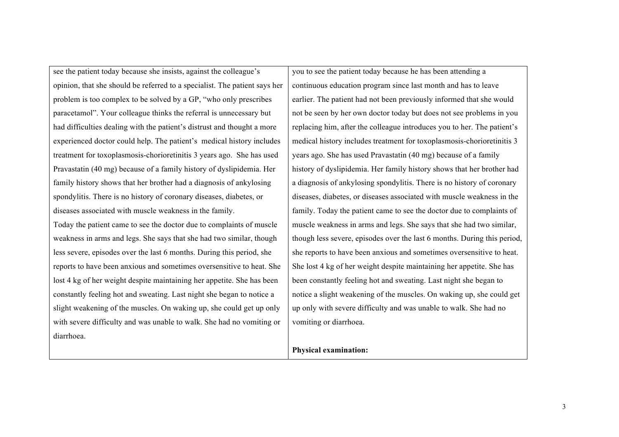see the patient today because she insists, against the colleague's opinion, that she should be referred to a specialist. The patient says her problem is too complex to be solved by a GP, "who only prescribes paracetamol". Your colleague thinks the referral is unnecessary but had difficulties dealing with the patient's distrust and thought a more experienced doctor could help. The patient's medical history includes treatment for toxoplasmosis-chorioretinitis 3 years ago. She has used Pravastatin (40 mg) because of a family history of dyslipidemia. Her family history shows that her brother had a diagnosis of ankylosing spondylitis. There is no history of coronary diseases, diabetes, or diseases associated with muscle weakness in the family. Today the patient came to see the doctor due to complaints of muscle weakness in arms and legs. She says that she had two similar, though less severe, episodes over the last 6 months. During this period, she reports to have been anxious and sometimes oversensitive to heat. She lost 4 kg of her weight despite maintaining her appetite. She has been constantly feeling hot and sweating. Last night she began to notice a slight weakening of the muscles. On waking up, she could get up only with severe difficulty and was unable to walk. She had no vomiting or diarrhoea.

you to see the patient today because he has been attending a continuous education program since last month and has to leave earlier. The patient had not been previously informed that she would not be seen by her own doctor today but does not see problems in you replacing him, after the colleague introduces you to her. The patient's medical history includes treatment for toxoplasmosis-chorioretinitis 3 years ago. She has used Pravastatin (40 mg) because of a family history of dyslipidemia. Her family history shows that her brother had a diagnosis of ankylosing spondylitis. There is no history of coronary diseases, diabetes, or diseases associated with muscle weakness in the family. Today the patient came to see the doctor due to complaints of muscle weakness in arms and legs. She says that she had two similar, though less severe, episodes over the last 6 months. During this period, she reports to have been anxious and sometimes oversensitive to heat. She lost 4 kg of her weight despite maintaining her appetite. She has been constantly feeling hot and sweating. Last night she began to notice a slight weakening of the muscles. On waking up, she could get up only with severe difficulty and was unable to walk. She had no vomiting or diarrhoea.

## **Physical examination:**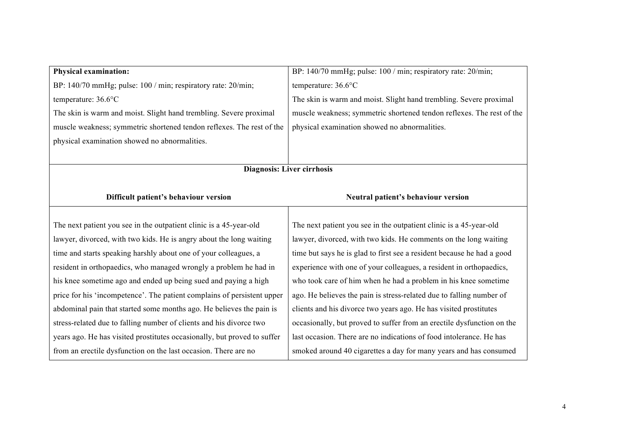| <b>Physical examination:</b>                                             | BP: 140/70 mmHg; pulse: 100 / min; respiratory rate: 20/min;           |
|--------------------------------------------------------------------------|------------------------------------------------------------------------|
| BP: 140/70 mmHg; pulse: 100 / min; respiratory rate: 20/min;             | temperature: 36.6°C                                                    |
| temperature: 36.6°C                                                      | The skin is warm and moist. Slight hand trembling. Severe proximal     |
| The skin is warm and moist. Slight hand trembling. Severe proximal       | muscle weakness; symmetric shortened tendon reflexes. The rest of the  |
| muscle weakness; symmetric shortened tendon reflexes. The rest of the    | physical examination showed no abnormalities.                          |
| physical examination showed no abnormalities.                            |                                                                        |
|                                                                          |                                                                        |
| <b>Diagnosis: Liver cirrhosis</b>                                        |                                                                        |
|                                                                          |                                                                        |
| Difficult patient's behaviour version                                    | Neutral patient's behaviour version                                    |
|                                                                          |                                                                        |
|                                                                          |                                                                        |
| The next patient you see in the outpatient clinic is a 45-year-old       | The next patient you see in the outpatient clinic is a 45-year-old     |
| lawyer, divorced, with two kids. He is angry about the long waiting      | lawyer, divorced, with two kids. He comments on the long waiting       |
| time and starts speaking harshly about one of your colleagues, a         | time but says he is glad to first see a resident because he had a good |
| resident in orthopaedics, who managed wrongly a problem he had in        | experience with one of your colleagues, a resident in orthopaedics,    |
| his knee sometime ago and ended up being sued and paying a high          | who took care of him when he had a problem in his knee sometime        |
| price for his 'incompetence'. The patient complains of persistent upper  | ago. He believes the pain is stress-related due to falling number of   |
| abdominal pain that started some months ago. He believes the pain is     | clients and his divorce two years ago. He has visited prostitutes      |
| stress-related due to falling number of clients and his divorce two      | occasionally, but proved to suffer from an erectile dysfunction on the |
| years ago. He has visited prostitutes occasionally, but proved to suffer | last occasion. There are no indications of food intolerance. He has    |